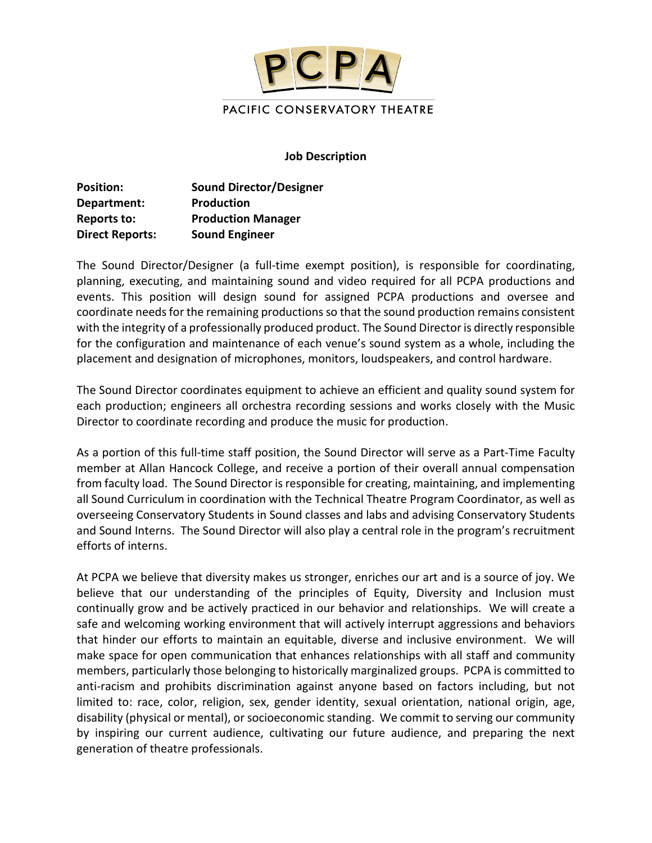

#### **Job Description**

| <b>Position:</b><br>Department:<br>Reports to: | <b>Sound Director/Designer</b><br><b>Production</b><br><b>Production Manager</b> |                        |                       |
|------------------------------------------------|----------------------------------------------------------------------------------|------------------------|-----------------------|
|                                                |                                                                                  | <b>Direct Reports:</b> | <b>Sound Engineer</b> |

The Sound Director/Designer (a full-time exempt position), is responsible for coordinating, planning, executing, and maintaining sound and video required for all PCPA productions and events. This position will design sound for assigned PCPA productions and oversee and coordinate needs for the remaining productionsso that the sound production remains consistent with the integrity of a professionally produced product. The Sound Director is directly responsible for the configuration and maintenance of each venue's sound system as a whole, including the placement and designation of microphones, monitors, loudspeakers, and control hardware.

The Sound Director coordinates equipment to achieve an efficient and quality sound system for each production; engineers all orchestra recording sessions and works closely with the Music Director to coordinate recording and produce the music for production.

As a portion of this full-time staff position, the Sound Director will serve as a Part-Time Faculty member at Allan Hancock College, and receive a portion of their overall annual compensation from faculty load. The Sound Director is responsible for creating, maintaining, and implementing all Sound Curriculum in coordination with the Technical Theatre Program Coordinator, as well as overseeing Conservatory Students in Sound classes and labs and advising Conservatory Students and Sound Interns. The Sound Director will also play a central role in the program's recruitment efforts of interns.

At PCPA we believe that diversity makes us stronger, enriches our art and is a source of joy. We believe that our understanding of the principles of Equity, Diversity and Inclusion must continually grow and be actively practiced in our behavior and relationships. We will create a safe and welcoming working environment that will actively interrupt aggressions and behaviors that hinder our efforts to maintain an equitable, diverse and inclusive environment. We will make space for open communication that enhances relationships with all staff and community members, particularly those belonging to historically marginalized groups. PCPA is committed to anti-racism and prohibits discrimination against anyone based on factors including, but not limited to: race, color, religion, sex, gender identity, sexual orientation, national origin, age, disability (physical or mental), or socioeconomic standing. We commit to serving our community by inspiring our current audience, cultivating our future audience, and preparing the next generation of theatre professionals.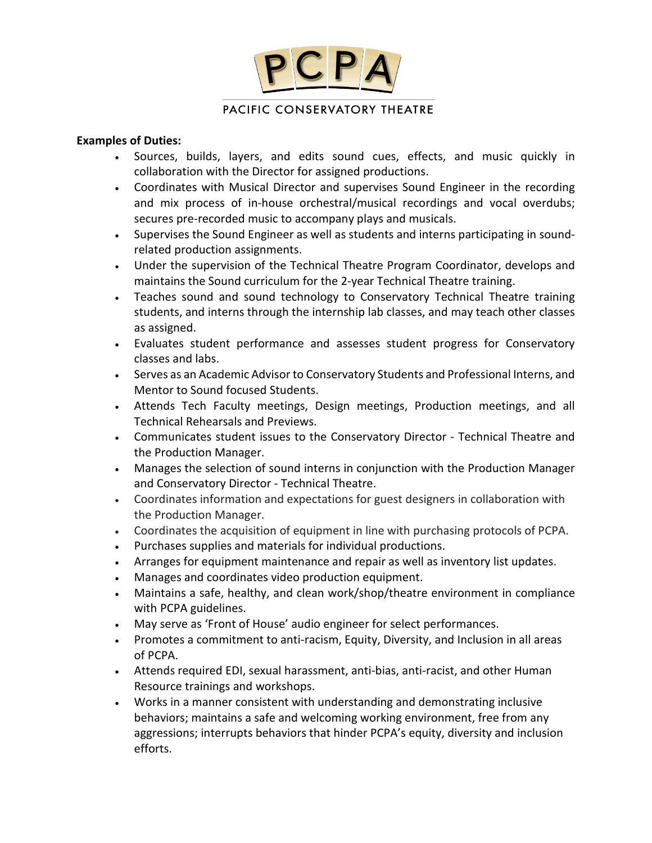

### **Examples of Duties:**

- Sources, builds, layers, and edits sound cues, effects, and music quickly in collaboration with the Director for assigned productions.
- Coordinates with Musical Director and supervises Sound Engineer in the recording and mix process of in-house orchestral/musical recordings and vocal overdubs; secures pre-recorded music to accompany plays and musicals.
- Supervises the Sound Engineer as well as students and interns participating in soundrelated production assignments.
- Under the supervision of the Technical Theatre Program Coordinator, develops and maintains the Sound curriculum for the 2-year Technical Theatre training.
- Teaches sound and sound technology to Conservatory Technical Theatre training students, and interns through the internship lab classes, and may teach other classes as assigned.
- Evaluates student performance and assesses student progress for Conservatory classes and labs.
- Serves as an Academic Advisor to Conservatory Students and Professional Interns, and Mentor to Sound focused Students.
- Attends Tech Faculty meetings, Design meetings, Production meetings, and all Technical Rehearsals and Previews.
- Communicates student issues to the Conservatory Director Technical Theatre and the Production Manager.
- Manages the selection of sound interns in conjunction with the Production Manager and Conservatory Director - Technical Theatre.
- Coordinates information and expectations for guest designers in collaboration with the Production Manager.
- Coordinates the acquisition of equipment in line with purchasing protocols of PCPA.
- Purchases supplies and materials for individual productions.
- Arranges for equipment maintenance and repair as well as inventory list updates.
- Manages and coordinates video production equipment.
- Maintains a safe, healthy, and clean work/shop/theatre environment in compliance with PCPA guidelines.
- May serve as 'Front of House' audio engineer for select performances.
- Promotes a commitment to anti-racism, Equity, Diversity, and Inclusion in all areas of PCPA.
- Attends required EDI, sexual harassment, anti-bias, anti-racist, and other Human Resource trainings and workshops.
- Works in a manner consistent with understanding and demonstrating inclusive behaviors; maintains a safe and welcoming working environment, free from any aggressions; interrupts behaviors that hinder PCPA's equity, diversity and inclusion efforts.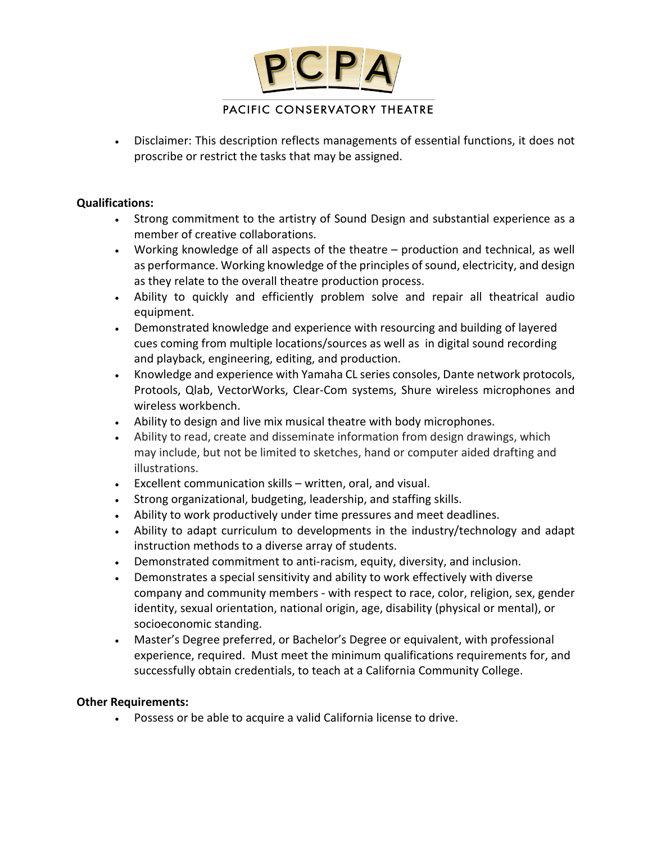

# PACIFIC CONSERVATORY THEATRE

• Disclaimer: This description reflects managements of essential functions, it does not proscribe or restrict the tasks that may be assigned.

### **Qualifications:**

- Strong commitment to the artistry of Sound Design and substantial experience as a member of creative collaborations.
- Working knowledge of all aspects of the theatre production and technical, as well as performance. Working knowledge of the principles of sound, electricity, and design as they relate to the overall theatre production process.
- Ability to quickly and efficiently problem solve and repair all theatrical audio equipment.
- Demonstrated knowledge and experience with resourcing and building of layered cues coming from multiple locations/sources as well as in digital sound recording and playback, engineering, editing, and production.
- Knowledge and experience with Yamaha CL series consoles, Dante network protocols, Protools, Qlab, VectorWorks, Clear-Com systems, Shure wireless microphones and wireless workbench.
- Ability to design and live mix musical theatre with body microphones.
- Ability to read, create and disseminate information from design drawings, which may include, but not be limited to sketches, hand or computer aided drafting and illustrations.
- Excellent communication skills written, oral, and visual.
- Strong organizational, budgeting, leadership, and staffing skills.
- Ability to work productively under time pressures and meet deadlines.
- Ability to adapt curriculum to developments in the industry/technology and adapt instruction methods to a diverse array of students.
- Demonstrated commitment to anti-racism, equity, diversity, and inclusion.
- Demonstrates a special sensitivity and ability to work effectively with diverse company and community members - with respect to race, color, religion, sex, gender identity, sexual orientation, national origin, age, disability (physical or mental), or socioeconomic standing.
- Master's Degree preferred, or Bachelor's Degree or equivalent, with professional experience, required.Must meet the minimum qualifications requirements for, and successfully obtain credentials, to teach at a California Community College.

## **Other Requirements:**

• Possess or be able to acquire a valid California license to drive.